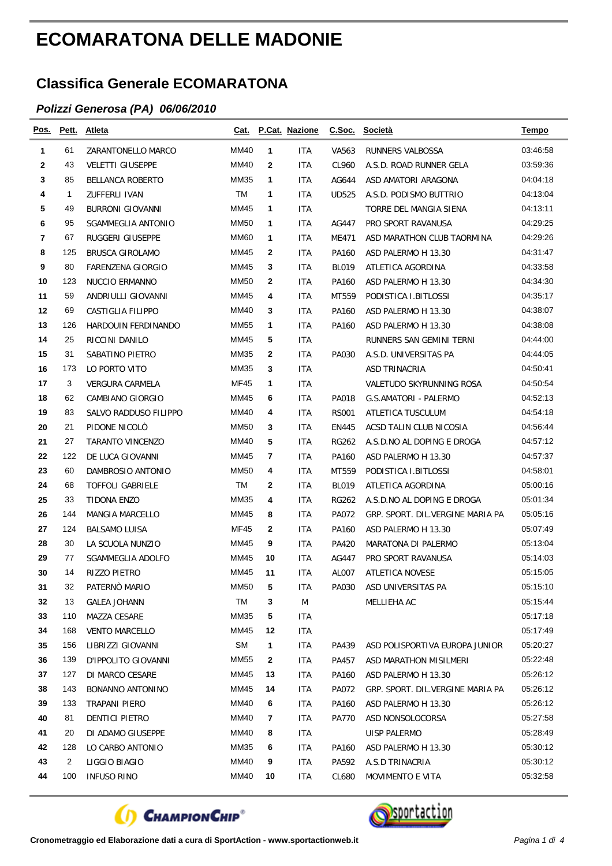## **ECOMARATONA DELLE MADONIE**

## **Classifica Generale ECOMARATONA**

## *Polizzi Generosa (PA) 06/06/2010*

| Pos. | Pett. | <b>Atleta</b>            | Cat.        |              | <b>P.Cat. Nazione</b> | C.Soc.       | <b>Società</b>                   | Tempo    |
|------|-------|--------------------------|-------------|--------------|-----------------------|--------------|----------------------------------|----------|
| 1    | 61    | ZARANTONELLO MARCO       | MM40        | 1            | <b>ITA</b>            | VA563        | RUNNERS VALBOSSA                 | 03:46:58 |
| 2    | 43    | <b>VELETTI GIUSEPPE</b>  | MM40        | 2            | ITA                   | CL960        | A.S.D. ROAD RUNNER GELA          | 03:59:36 |
| 3    | 85    | BELLANCA ROBERTO         | MM35        | 1            | ITA                   | AG644        | ASD AMATORI ARAGONA              | 04:04:18 |
| 4    | 1     | ZUFFERLI IVAN            | TM          | 1            | <b>ITA</b>            | <b>UD525</b> | A.S.D. PODISMO BUTTRIO           | 04:13:04 |
| 5    | 49    | <b>BURRONI GIOVANNI</b>  | MM45        | 1            | <b>ITA</b>            |              | TORRE DEL MANGIA SIENA           | 04:13:11 |
| 6    | 95    | SGAMMEGLIA ANTONIO       | <b>MM50</b> | 1            | <b>ITA</b>            | AG447        | PRO SPORT RAVANUSA               | 04:29:25 |
| 7    | 67    | RUGGERI GIUSEPPE         | <b>MM60</b> | 1            | ITA                   | ME471        | ASD MARATHON CLUB TAORMINA       | 04:29:26 |
| 8    | 125   | <b>BRUSCA GIROLAMO</b>   | MM45        | $\mathbf{2}$ | ITA                   | PA160        | ASD PALERMO H 13.30              | 04:31:47 |
| 9    | 80    | <b>FARENZENA GIORGIO</b> | MM45        | 3            | ITA                   | <b>BL019</b> | ATLETICA AGORDINA                | 04:33:58 |
| 10   | 123   | NUCCIO ERMANNO           | MM50        | 2            | ITA                   | PA160        | ASD PALERMO H 13.30              | 04:34:30 |
| 11   | 59    | ANDRIULLI GIOVANNI       | MM45        | 4            | ITA                   | MT559        | PODISTICA I.BITLOSSI             | 04:35:17 |
| 12   | 69    | CASTIGLIA FILIPPO        | MM40        | 3            | ITA                   | PA160        | ASD PALERMO H 13.30              | 04:38:07 |
| 13   | 126   | HARDOUIN FERDINANDO      | MM55        | 1            | ITA                   | PA160        | ASD PALERMO H 13.30              | 04:38:08 |
| 14   | 25    | RICCINI DANILO           | MM45        | 5            | ITA                   |              | RUNNERS SAN GEMINI TERNI         | 04:44:00 |
| 15   | 31    | SABATINO PIETRO          | MM35        | $\mathbf{2}$ | <b>ITA</b>            | PA030        | A.S.D. UNIVERSITAS PA            | 04:44:05 |
| 16   | 173   | LO PORTO VITO            | MM35        | 3            | <b>ITA</b>            |              | ASD TRINACRIA                    | 04:50:41 |
| 17   | 3     | <b>VERGURA CARMELA</b>   | MF45        | 1            | ITA                   |              | VALETUDO SKYRUNNING ROSA         | 04:50:54 |
| 18   | 62    | CAMBIANO GIORGIO         | MM45        | 6            | ITA                   | PA018        | G.S.AMATORI - PALERMO            | 04:52:13 |
| 19   | 83    | SALVO RADDUSO FILIPPO    | MM40        | 4            | ITA                   | <b>RS001</b> | ATLETICA TUSCULUM                | 04:54:18 |
| 20   | 21    | PIDONE NICOLO            | MM50        | 3            | ITA                   | <b>EN445</b> | ACSD TALIN CLUB NICOSIA          | 04 56 44 |
| 21   | 27    | TARANTO VINCENZO         | MM40        | 5            | <b>ITA</b>            | <b>RG262</b> | A.S.D.NO AL DOPING E DROGA       | 04:57:12 |
| 22   | 122   | DE LUCA GIOVANNI         | MM45        | 7            | ITA                   | PA160        | ASD PALERMO H 13.30              | 04:57:37 |
| 23   | 60    | DAMBROSIO ANTONIO        | MM50        | 4            | ITA                   | MT559        | PODISTICA I.BITLOSSI             | 04:58:01 |
| 24   | 68    | <b>TOFFOLI GABRIELE</b>  | <b>TM</b>   | 2            | ITA                   | <b>BL019</b> | ATLETICA AGORDINA                | 05:00:16 |
| 25   | 33    | TIDONA ENZO              | MM35        | 4            | <b>ITA</b>            | <b>RG262</b> | A.S.D.NO AL DOPING E DROGA       | 05:01:34 |
| 26   | 144   | MANGIA MARCELLO          | MM45        | 8            | ITA                   | PA072        | GRP. SPORT. DIL.VERGINE MARIA PA | 05:05:16 |
| 27   | 124   | <b>BALSAMO LUISA</b>     | MF45        | 2            | <b>ITA</b>            | PA160        | ASD PALERMO H 13.30              | 05:07:49 |
| 28   | 30    | LA SCUOLA NUNZIO         | MM45        | 9            | <b>ITA</b>            | PA420        | MARATONA DI PALERMO              | 05:13:04 |
| 29   | 77    | SGAMMEGLIA ADOLFO        | MM45        | 10           | ITA                   | AG447        | PRO SPORT RAVANUSA               | 05:14:03 |
| 30   | 14    | RIZZO PIETRO             | MM45        | 11           | ITA                   | AL007        | <b>ATLETICA NOVESE</b>           | 05:15:05 |
| 31   | 32    | PATERNO MARIO            | <b>MM50</b> | 5            | <b>ITA</b>            | PA030        | ASD UNIVERSITAS PA               | 05:15:10 |
| 32   | 13    | <b>GALEA JOHANN</b>      | TM          | 3            | M                     |              | MELLIEHA AC                      | 05:15:44 |
| 33   | 110   | MAZZA CESARE             | MM35        | 5            | <b>ITA</b>            |              |                                  | 05:17:18 |
| 34   | 168   | <b>VENTO MARCELLO</b>    | MM45        | 12           | <b>ITA</b>            |              |                                  | 05:17:49 |
| 35   | 156   | LIBRIZZI GIOVANNI        | SM          | 1            | ITA                   | PA439        | ASD POLISPORTIVA EUROPA JUNIOR   | 05:20:27 |
| 36   | 139   | D'IPPOLITO GIOVANNI      | MM55        | 2            | <b>ITA</b>            | PA457        | ASD MARATHON MISILMERI           | 05:22:48 |
| 37   | 127   | DI MARCO CESARE          | MM45        | 13           | ITA                   | PA160        | ASD PALERMO H 13.30              | 05:26:12 |
| 38   | 143   | BONANNO ANTONINO         | MM45        | 14           | ITA                   | PA072        | GRP. SPORT. DIL.VERGINE MARIA PA | 05:26:12 |
| 39   | 133   | TRAPANI PIERO            | MM40        | 6            | <b>ITA</b>            | PA160        | ASD PALERMO H 13.30              | 05:26:12 |
| 40   | 81    | DENTICI PIETRO           | MM40        | 7            | ITA                   | PA770        | ASD NONSOLOCORSA                 | 05:27:58 |
| 41   | 20    | DI ADAMO GIUSEPPE        | <b>MM40</b> | 8            | ITA                   |              | <b>UISP PALERMO</b>              | 05:28:49 |
| 42   | 128   | LO CARBO ANTONIO         | MM35        | 6            | ITA                   | PA160        | ASD PALERMO H 13.30              | 05:30:12 |
| 43   | 2     | LIGGIO BIAGIO            | MM40        | 9            | ITA                   | PA592        | A.S.D TRINACRIA                  | 05:30:12 |
| 44   | 100   | <b>INFUSO RINO</b>       | <b>MM40</b> | 10           | ITA                   | CL680        | MOVIMENTO E VITA                 | 05:32:58 |



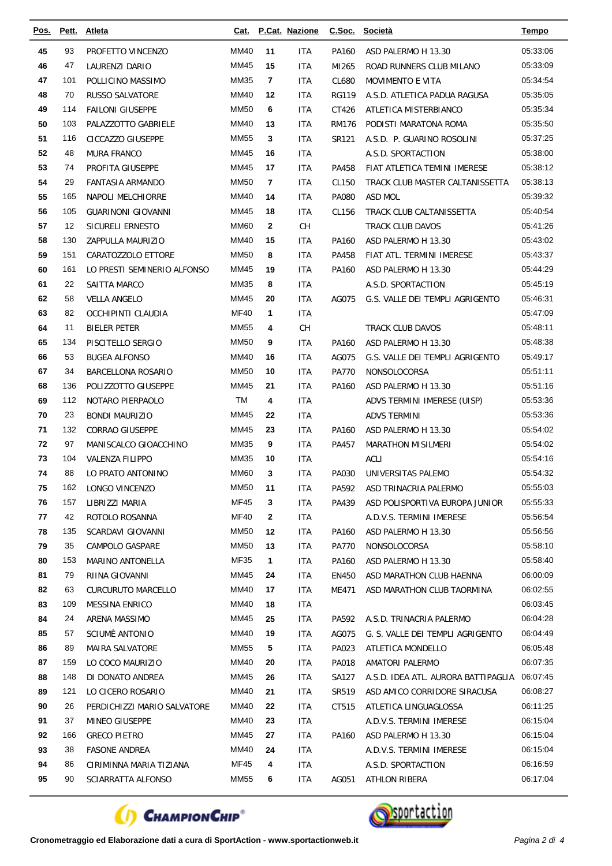| Pos.     | Pett.    | <b>Atleta</b>                          | Cat.         |                | P.Cat. Nazione    | C.Soc.         | <b>Società</b>                                        | <b>Tempo</b>         |
|----------|----------|----------------------------------------|--------------|----------------|-------------------|----------------|-------------------------------------------------------|----------------------|
| 45       | 93       | PROFETTO VINCENZO                      | MM40         | 11             | <b>ITA</b>        | PA160          | ASD PALERMO H 13.30                                   | 05:33:06             |
| 46       | 47       | LAURENZI DARIO                         | MM45         | 15             | <b>ITA</b>        | MI265          | ROAD RUNNERS CLUB MILANO                              | 05:33:09             |
| 47       | 101      | POLLICINO MASSIMO                      | MM35         | $\overline{7}$ | <b>ITA</b>        | CL680          | <b>MOVIMENTO E VITA</b>                               | 05:34:54             |
| 48       | 70       | <b>RUSSO SALVATORE</b>                 | MM40         | 12             | <b>ITA</b>        | <b>RG119</b>   | A.S.D. ATLETICA PADUA RAGUSA                          | 05:35:05             |
| 49       | 114      | <b>FAILONI GIUSEPPE</b>                | <b>MM50</b>  | 6              | <b>ITA</b>        | CT426          | ATLETICA MISTERBIANCO                                 | 05:35:34             |
| 50       | 103      | PALAZZOTTO GABRIELE                    | MM40         | 13             | <b>ITA</b>        | <b>RM176</b>   | PODISTI MARATONA ROMA                                 | 05:35:50             |
| 51       | 116      | <b>CICCAZZO GIUSEPPE</b>               | <b>MM55</b>  | 3              | <b>ITA</b>        | SR121          | A.S.D. P. GUARINO ROSOLINI                            | 05:37:25             |
| 52       | 48       | <b>MURA FRANCO</b>                     | MM45         | 16             | <b>ITA</b>        |                | A.S.D. SPORTACTION                                    | 05:38:00             |
| 53       | 74       | PROFITA GIUSEPPE                       | MM45         | 17             | <b>ITA</b>        | PA458          | FIAT ATLETICA TEMINI IMERESE                          | 05:38:12             |
| 54       | 29       | <b>FANTASIA ARMANDO</b>                | <b>MM50</b>  | 7              | <b>ITA</b>        | CL150          | TRACK CLUB MASTER CALTANISSETTA                       | 05:38:13             |
| 55       | 165      | NAPOLI MELCHIORRE                      | MM40         | 14             | <b>ITA</b>        | PA080          | ASD MOL                                               | 05:39:32             |
| 56       | 105      | <b>GUARINONI GIOVANNI</b>              | MM45         | 18             | <b>ITA</b>        | CL156          | TRACK CLUB CALTANISSETTA                              | 05:40:54             |
| 57       | 12       | <b>SICURELI ERNESTO</b>                | <b>MM60</b>  | $\mathbf{2}$   | CH                |                | TRACK CLUB DAVOS                                      | 05:41:26             |
| 58       | 130      | ZAPPULLA MAURIZIO                      | MM40         | 15             | <b>ITA</b>        | PA160          | ASD PALERMO H 13.30                                   | 05:43:02             |
| 59       | 151      | CARATOZZOLO ETTORE                     | <b>MM50</b>  | 8              | <b>ITA</b>        | PA458          | FIAT ATL. TERMINI IMERESE                             | 05:43:37             |
| 60       | 161      | LO PRESTI SEMINERIO ALFONSO            | MM45         | 19             | <b>ITA</b>        | PA160          | ASD PALERMO H 13.30                                   | 05:44:29             |
| 61       | 22       | SAITTA MARCO                           | MM35         | 8              | <b>ITA</b>        |                | A.S.D. SPORTACTION                                    | 05:45:19             |
| 62       | 58       | <b>VELLA ANGELO</b>                    | MM45         | 20             | <b>ITA</b>        | AG075          | G.S. VALLE DEI TEMPLI AGRIGENTO                       | 05:46:31             |
| 63       | 82       | OCCHIPINTI CLAUDIA                     | <b>MF40</b>  | 1              | <b>ITA</b>        |                |                                                       | 05:47:09             |
| 64       | 11       | <b>BIELER PETER</b>                    | <b>MM55</b>  | 4              | CH                |                | TRACK CLUB DAVOS                                      | 05:48:11             |
| 65       | 134      | PISCITELLO SERGIO                      | <b>MM50</b>  | 9              | <b>ITA</b>        | PA160          | ASD PALERMO H 13.30                                   | 05:48:38             |
| 66       | 53       | <b>BUGEA ALFONSO</b>                   | MM40         | 16             | <b>ITA</b>        | AG075          | G.S. VALLE DEI TEMPLI AGRIGENTO                       | 05:49:17             |
| 67       | 34       | BARCELLONA ROSARIO                     | <b>MM50</b>  | 10             | <b>ITA</b>        | <b>PA770</b>   | NONSOLOCORSA                                          | 05:51:11             |
| 68       | 136      | POLIZZOTTO GIUSEPPE                    | MM45         | 21             | <b>ITA</b>        | PA160          | ASD PALERMO H 13.30                                   | 05:51:16             |
| 69       | 112      | NOTARO PIERPAOLO                       | TM           | 4              | ITA               |                | ADVS TERMINI IMERESE (UISP)                           | 05:53:36             |
| 70       | 23       | <b>BONDI MAURIZIO</b>                  | MM45         | 22             | <b>ITA</b>        |                | <b>ADVS TERMINI</b>                                   | 05:53:36             |
| 71       | 132      | <b>CORRAO GIUSEPPE</b>                 | MM45         | 23             | <b>ITA</b>        | PA160          | ASD PALERMO H 13.30                                   | 05:54:02             |
| 72       | 97       | MANISCALCO GIOACCHINO                  | <b>MM35</b>  | 9              | <b>ITA</b>        | PA457          | <b>MARATHON MISILMERI</b>                             | 05:54:02             |
| 73       | 104      | <b>VALENZA FILIPPO</b>                 | MM35         | 10             | <b>ITA</b>        |                | ACLI                                                  | 05:54:16             |
| 74       | 88       | LO PRATO ANTONINO                      | <b>MM60</b>  | 3              | ITA               | PA030          | UNIVERSITAS PALEMO                                    | 05:54:32             |
| 75       | 162      | LONGO VINCENZO                         | <b>MM50</b>  | 11             | <b>ITA</b>        | PA592          | ASD TRINACRIA PALERMO                                 | 05:55:03             |
| 76       | 157      | LIBRIZZI MARIA                         | MF45         | 3              | <b>ITA</b>        | PA439          | ASD POLISPORTIVA EUROPA JUNIOR                        | 05:55:33             |
| 77       | 42       | ROTOLO ROSANNA                         | <b>MF40</b>  | $\mathbf{2}$   | ITA               |                | A.D.V.S. TERMINI IMERESE                              | 05:56:54             |
| 78       | 135      | SCARDAVI GIOVANNI                      | <b>MM50</b>  | 12             | <b>ITA</b>        | PA160          | ASD PALERMO H 13.30                                   | 05:56:56             |
| 79       | 35       | CAMPOLO GASPARE                        | MM50         | 13             | ITA               | PA770          | NONSOLOCORSA                                          | 05:58:10             |
| 80       | 153      | <b>MARINO ANTONELLA</b>                | MF35         | 1              | ITA               | PA160          | ASD PALERMO H 13.30                                   | 05:58:40             |
| 81       | 79       | RIINA GIOVANNI                         | MM45         | 24             | ITA               | EN450          | ASD MARATHON CLUB HAENNA                              | 06:00:09             |
| 82       | 63       | <b>CURCURUTO MARCELLO</b>              | MM40         | 17             | <b>ITA</b>        | ME471          | ASD MARATHON CLUB TAORMINA                            | 06:02:55             |
| 83<br>84 | 109      | <b>MESSINA ENRICO</b>                  | MM40<br>MM45 | 18             | <b>ITA</b>        |                |                                                       | 06:03:45<br>06:04:28 |
| 85       | 24<br>57 | ARENA MASSIMO<br><b>SCIUMÈ ANTONIO</b> | MM40         | 25<br>19       | <b>ITA</b>        | PA592          | A.S.D. TRINACRIA PALERMO                              | 06:04:49             |
| 86       | 89       | MAIRA SALVATORE                        | MM55         | 5              | <b>ITA</b><br>ITA | AG075<br>PA023 | G. S. VALLE DEI TEMPLI AGRIGENTO<br>ATLETICA MONDELLO | 06:05:48             |
| 87       | 159      | LO COCO MAURIZIO                       | MM40         | 20             | ITA               | PA018          | AMATORI PALERMO                                       | 06:07:35             |
| 88       | 148      | DI DONATO ANDREA                       | MM45         | 26             | ITA               | SA127          | A.S.D. IDEA ATL. AURORA BATTIPAGLIA                   | 06:07:45             |
| 89       | 121      | LO CICERO ROSARIO                      | MM40         | 21             | <b>ITA</b>        | SR519          | ASD AMICO CORRIDORE SIRACUSA                          | 06:08:27             |
| 90       | 26       | PERDICHIZZI MARIO SALVATORE            | MM40         | 22             | ITA               | CT515          | ATLETICA LINGUAGLOSSA                                 | 06:11:25             |
| 91       | 37       | MINEO GIUSEPPE                         | MM40         | 23             | <b>ITA</b>        |                | A.D.V.S. TERMINI IMERESE                              | 06:15:04             |
| 92       | 166      | <b>GRECO PIETRO</b>                    | MM45         | 27             | <b>ITA</b>        | PA160          | ASD PALERMO H 13.30                                   | 06:15:04             |
| 93       | 38       | <b>FASONE ANDREA</b>                   | MM40         | 24             | ITA               |                | A.D.V.S. TERMINI IMERESE                              | 06:15:04             |
| 94       | 86       | CIRIMINNA MARIA TIZIANA                | MF45         | 4              | <b>ITA</b>        |                | A.S.D. SPORTACTION                                    | 06:16:59             |
| 95       | 90       | SCIARRATTA ALFONSO                     | <b>MM55</b>  | 6              | ITA               | AG051          | ATHLON RIBERA                                         | 06:17:04             |
|          |          |                                        |              |                |                   |                |                                                       |                      |



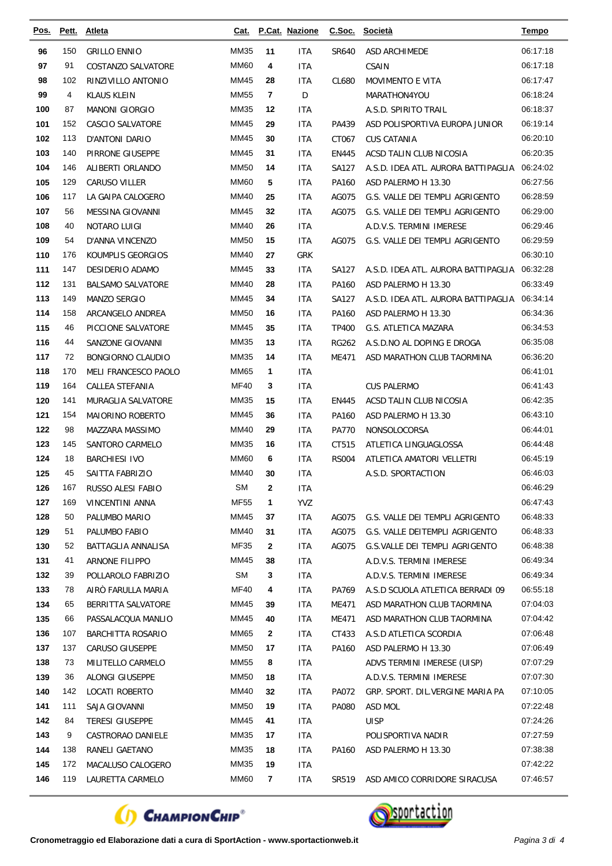| Pos.       | Pett.    | <b>Atleta</b>                            | <u>Cat.</u>  |                | P.Cat. Nazione    |                | C.Soc. Società                                           | <b>Tempo</b>         |
|------------|----------|------------------------------------------|--------------|----------------|-------------------|----------------|----------------------------------------------------------|----------------------|
| 96         | 150      | <b>GRILLO ENNIO</b>                      | MM35         | 11             | ITA               | SR640          | ASD ARCHIMEDE                                            | 06:17:18             |
| 97         | 91       | COSTANZO SALVATORE                       | <b>MM60</b>  | 4              | <b>ITA</b>        |                | CSAIN                                                    | 06:17:18             |
| 98         | 102      | RINZIVILLO ANTONIO                       | MM45         | 28             | ITA               | CL680          | <b>MOVIMENTO E VITA</b>                                  | 06:17:47             |
| 99         | 4        | <b>KLAUS KLEIN</b>                       | <b>MM55</b>  | $\overline{7}$ | D                 |                | MARATHON4YOU                                             | 06:18:24             |
| 100        | 87       | <b>MANONI GIORGIO</b>                    | MM35         | 12             | <b>ITA</b>        |                | A.S.D. SPIRITO TRAIL                                     | 06:18:37             |
| 101        | 152      | CASCIO SALVATORE                         | MM45         | 29             | <b>ITA</b>        | PA439          | ASD POLISPORTIVA EUROPA JUNIOR                           | 06:19:14             |
| 102        | 113      | D'ANTONI DARIO                           | <b>MM45</b>  | 30             | <b>ITA</b>        | CT067          | <b>CUS CATANIA</b>                                       | 06:20:10             |
| 103        | 140      | PIRRONE GIUSEPPE                         | MM45         | 31             | <b>ITA</b>        | <b>EN445</b>   | ACSD TALIN CLUB NICOSIA                                  | 06:20:35             |
| 104        | 146      | ALIBERTI ORLANDO                         | <b>MM50</b>  | 14             | <b>ITA</b>        | SA127          | A.S.D. IDEA ATL. AURORA BATTIPAGLIA                      | 06:24:02             |
| 105        | 129      | CARUSO VILLER                            | <b>MM60</b>  | 5              | ITA               | PA160          | ASD PALERMO H 13.30                                      | 06:27:56             |
| 106        | 117      | LA GAIPA CALOGERO                        | MM40         | 25             | <b>ITA</b>        | AG075          | G.S. VALLE DEI TEMPLI AGRIGENTO                          | 06:28:59             |
| 107        | 56       | MESSINA GIOVANNI                         | <b>MM45</b>  | 32             | ITA               | AG075          | G.S. VALLE DEI TEMPLI AGRIGENTO                          | 06:29:00             |
| 108        | 40       | NOTARO LUIGI                             | MM40         | 26             | <b>ITA</b>        |                | A.D.V.S. TERMINI IMERESE                                 | 06:29:46             |
| 109        | 54       | D'ANNA VINCENZO                          | <b>MM50</b>  | 15             | ITA               | AG075          | G.S. VALLE DEI TEMPLI AGRIGENTO                          | 06:29:59             |
| 110        | 176      | KOUMPLIS GEORGIOS                        | MM40         | 27             | <b>GRK</b>        |                |                                                          | 06:30:10             |
| 111        | 147      | DESIDERIO ADAMO                          | MM45         | 33             | <b>ITA</b>        | SA127          | A.S.D. IDEA ATL. AURORA BATTIPAGLIA                      | 06:32:28             |
| 112        | 131      | <b>BALSAMO SALVATORE</b>                 | MM40         | 28             | <b>ITA</b>        | PA160          | ASD PALERMO H 13.30                                      | 06:33:49             |
| 113        | 149      | MANZO SERGIO                             | <b>MM45</b>  | 34             | <b>ITA</b>        | SA127          | A.S.D. IDEA ATL. AURORA BATTIPAGLIA                      | 06:34:14             |
| 114        | 158      | ARCANGELO ANDREA                         | <b>MM50</b>  | 16             | <b>ITA</b>        | PA160          | ASD PALERMO H 13.30                                      | 06:34:36             |
| 115        | 46       | PICCIONE SALVATORE                       | <b>MM45</b>  | 35             | <b>ITA</b>        | TP400          | G.S. ATLETICA MAZARA                                     | 06:34:53             |
| 116        | 44       | SANZONE GIOVANNI                         | <b>MM35</b>  | 13             | ITA.              | <b>RG262</b>   | A.S.D.NO AL DOPING E DROGA                               | 06:35:08             |
| 117        | 72       | BONGIORNO CLAUDIO                        | MM35         | 14             | <b>ITA</b>        | ME471          | ASD MARATHON CLUB TAORMINA                               | 06:36:20             |
| 118        | 170      | MELI FRANCESCO PAOLO                     | <b>MM65</b>  | 1              | <b>ITA</b>        |                |                                                          | 06:41:01             |
| 119        | 164      | <b>CALLEA STEFANIA</b>                   | <b>MF40</b>  | 3              | ITA               |                | <b>CUS PALERMO</b>                                       | 06:41:43             |
| 120        | 141      | MURAGLIA SALVATORE                       | MM35         | 15             | <b>ITA</b>        | <b>EN445</b>   | ACSD TALIN CLUB NICOSIA                                  | 06:42:35             |
| 121        | 154      | MAIORINO ROBERTO                         | <b>MM45</b>  | 36             | ITA               | PA160          | ASD PALERMO H 13.30                                      | 06:43:10             |
| 122        | 98       | MAZZARA MASSIMO                          | MM40         | 29             | ITA               | <b>PA770</b>   | NONSOLOCORSA                                             | 06:44:01             |
| 123        | 145      | SANTORO CARMELO                          | MM35         | 16             | ITA               | CT515          | ATLETICA LINGUAGLOSSA                                    | 06:44:48             |
| 124        | 18       | <b>BARCHIESI IVO</b>                     | <b>MM60</b>  | 6              | <b>ITA</b>        | <b>RS004</b>   | ATLETICA AMATORI VELLETRI                                | 06:45:19             |
| 125        | 45       | SAITTA FABRIZIO                          | MM40         | 30             | ITA               |                | A.S.D. SPORTACTION                                       | 06:46:03             |
| 126        | 167      | RUSSO ALESI FABIO                        | ${\sf SM}$   | $\mathbf{2}$   | <b>ITA</b>        |                |                                                          | 06:46:29             |
| 127        | 169      | VINCENTINI ANNA                          | MF55         | 1              | <b>YVZ</b>        |                |                                                          | 06:47:43             |
| 128        | 50       | PALUMBO MARIO                            | MM45         | 37             | <b>ITA</b>        | AG075          | G.S. VALLE DEI TEMPLI AGRIGENTO                          | 06:48:33             |
| 129        | 51       | PALUMBO FABIO                            | MM40         | 31             | <b>ITA</b>        | AG075          | G.S. VALLE DEITEMPLI AGRIGENTO                           | 06:48:33             |
| 130        | 52       | BATTAGLIA ANNALISA                       | <b>MF35</b>  | $\mathbf{2}$   | <b>ITA</b>        | AG075          | G.S. VALLE DEI TEMPLI AGRIGENTO                          | 06:48:38             |
| 131        | 41       | ARNONE FILIPPO                           | MM45         | 38             | <b>ITA</b>        |                | A.D.V.S. TERMINI IMERESE                                 | 06:49:34             |
| 132        | 39       | POLLAROLO FABRIZIO                       | <b>SM</b>    | 3              | <b>ITA</b>        |                | A.D.V.S. TERMINI IMERESE                                 | 06:49:34             |
| 133<br>134 | 78       | AIRÒ FARULLA MARIA                       | MF40         | 4              | <b>ITA</b>        | PA769          | A.S.D SCUOLA ATLETICA BERRADI 09                         | 06:55:18             |
| 135        | 65<br>66 | BERRITTA SALVATORE<br>PASSALACQUA MANLIO | MM45<br>MM45 | 39<br>40       | ITA<br><b>ITA</b> | ME471<br>ME471 | ASD MARATHON CLUB TAORMINA<br>ASD MARATHON CLUB TAORMINA | 07:04:03<br>07:04:42 |
| 136        | 107      | <b>BARCHITTA ROSARIO</b>                 | MM65         | $\mathbf{2}$   | <b>ITA</b>        | CT433          | A.S.D ATLETICA SCORDIA                                   | 07:06:48             |
| 137        | 137      | CARUSO GIUSEPPE                          | MM50         | 17             | ITA               | PA160          | ASD PALERMO H 13.30                                      | 07:06:49             |
| 138        | 73       | MILITELLO CARMELO                        | MM55         | 8              | <b>ITA</b>        |                | ADVS TERMINI IMERESE (UISP)                              | 07:07:29             |
| 139        | 36       | ALONGI GIUSEPPE                          | <b>MM50</b>  | 18             | ITA               |                | A.D.V.S. TERMINI IMERESE                                 | 07:07:30             |
| 140        | 142      | LOCATI ROBERTO                           | MM40         | 32             | <b>ITA</b>        | PA072          | GRP. SPORT. DIL.VERGINE MARIA PA                         | 07:10:05             |
| 141        | 111      | SAJA GIOVANNI                            | <b>MM50</b>  | 19             | ITA               | PA080          | ASD MOL                                                  | 07:22:48             |
| 142        | 84       | <b>TERESI GIUSEPPE</b>                   | MM45         | 41             | <b>ITA</b>        |                | <b>UISP</b>                                              | 07:24:26             |
| 143        | 9        | CASTRORAO DANIELE                        | MM35         | 17             | <b>ITA</b>        |                | POLISPORTIVA NADIR                                       | 07:27:59             |
| 144        | 138      | RANELI GAETANO                           | MM35         | 18             | <b>ITA</b>        | PA160          | ASD PALERMO H 13.30                                      | 07:38:38             |
| 145        | 172      | MACALUSO CALOGERO                        | MM35         | 19             | <b>ITA</b>        |                |                                                          | 07:42:22             |
| 146        | 119      | LAURETTA CARMELO                         | <b>MM60</b>  | $\overline{7}$ | ITA               | SR519          | ASD AMICO CORRIDORE SIRACUSA                             | 07:46:57             |
|            |          |                                          |              |                |                   |                |                                                          |                      |